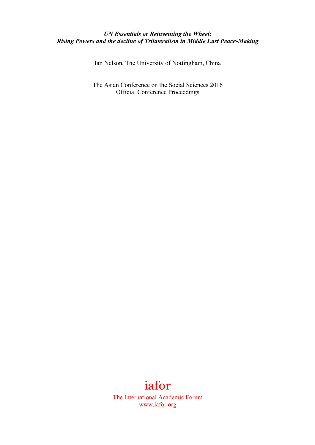## *UN Essentials or Reinventing the Wheel: Rising Powers and the decline of Trilateralism in Middle East Peace-Making*

Ian Nelson, The University of Nottingham, China

The Asian Conference on the Social Sciences 2016 Official Conference Proceedings

## iafor

The International Academic Forum www.iafor.org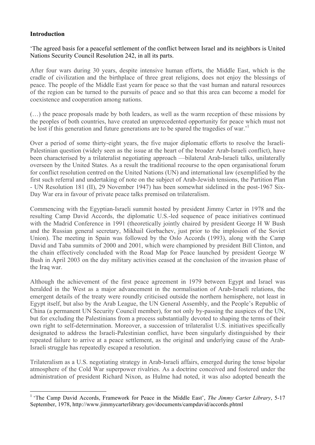## **Introduction**

'The agreed basis for a peaceful settlement of the conflict between Israel and its neighbors is United Nations Security Council Resolution 242, in all its parts.

After four wars during 30 years, despite intensive human efforts, the Middle East, which is the cradle of civilization and the birthplace of three great religions, does not enjoy the blessings of peace. The people of the Middle East yearn for peace so that the vast human and natural resources of the region can be turned to the pursuits of peace and so that this area can become a model for coexistence and cooperation among nations.

(…) the peace proposals made by both leaders, as well as the warm reception of these missions by the peoples of both countries, have created an unprecedented opportunity for peace which must not be lost if this generation and future generations are to be spared the tragedies of war.<sup>1</sup>

Over a period of some thirty-eight years, the five major diplomatic efforts to resolve the Israeli-Palestinian question (widely seen as the issue at the heart of the broader Arab-Israeli conflict), have been characterised by a trilateralist negotiating approach —bilateral Arab-Israeli talks, unilaterally overseen by the United States. As a result the traditional recourse to the open organisational forum for conflict resolution centred on the United Nations (UN) and international law (exemplified by the first such referral and undertaking of note on the subject of Arab-Jewish tensions, the Partition Plan - UN Resolution 181 (II), 29 November 1947) has been somewhat sidelined in the post-1967 Six-Day War era in favour of private peace talks premised on trilateralism.

Commencing with the Egyptian-Israeli summit hosted by president Jimmy Carter in 1978 and the resulting Camp David Accords, the diplomatic U.S.-led sequence of peace initiatives continued with the Madrid Conference in 1991 (theoretically jointly chaired by president George H W Bush and the Russian general secretary, Mikhail Gorbachev, just prior to the implosion of the Soviet Union). The meeting in Spain was followed by the Oslo Accords (1993), along with the Camp David and Taba summits of 2000 and 2001, which were championed by president Bill Clinton, and the chain effectively concluded with the Road Map for Peace launched by president George W Bush in April 2003 on the day military activities ceased at the conclusion of the invasion phase of the Iraq war.

Although the achievement of the first peace agreement in 1979 between Egypt and Israel was heralded in the West as a major advancement in the normalisation of Arab-Israeli relations, the emergent details of the treaty were roundly criticised outside the northern hemisphere, not least in Egypt itself, but also by the Arab League, the UN General Assembly, and the People's Republic of China (a permanent UN Security Council member), for not only by-passing the auspices of the UN, but for excluding the Palestinians from a process substantially devoted to shaping the terms of their own right to self-determination. Moreover, a succession of trilateralist U.S. initiatives specifically designated to address the Israeli-Palestinian conflict, have been singularly distinguished by their repeated failure to arrive at a peace settlement, as the original and underlying cause of the Arab-Israeli struggle has repeatedly escaped a resolution.

Trilateralism as a U.S. negotiating strategy in Arab-Israeli affairs, emerged during the tense bipolar atmosphere of the Cold War superpower rivalries. As a doctrine conceived and fostered under the administration of president Richard Nixon, as Hulme had noted, it was also adopted beneath the

 <sup>1</sup> 'The Camp David Accords, Framework for Peace in the Middle East', *The Jimmy Carter Library*, 5-17 September, 1978, http://www.jimmycarterlibrary.gov/documents/campdavid/accords.phtml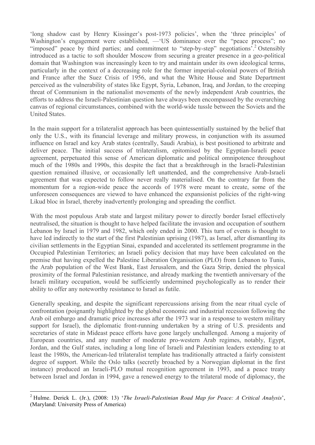'long shadow cast by Henry Kissinger's post-1973 policies', when the 'three principles' of Washington's engagement were established, —'US dominance over the "peace process"; no "imposed" peace by third parties; and commitment to "step-by-step" negotiations<sup>7</sup>.<sup>2</sup> Ostensibly introduced as a tactic to soft shoulder Moscow from securing a greater presence in a geo-political domain that Washington was increasingly keen to try and maintain under its own ideological terms, particularly in the context of a decreasing role for the former imperial-colonial powers of British and France after the Suez Crisis of 1956, and what the White House and State Department perceived as the vulnerability of states like Egypt, Syria, Lebanon, Iraq, and Jordan, to the creeping threat of Communism in the nationalist movements of the newly independent Arab countries, the efforts to address the Israeli-Palestinian question have always been encompassed by the overarching canvas of regional circumstances, combined with the world-wide tussle between the Soviets and the United States.

In the main support for a trilateralist approach has been quintessentially sustained by the belief that only the U.S., with its financial leverage and military prowess, in conjunction with its assumed influence on Israel and key Arab states (centrally, Saudi Arabia), is best positioned to arbitrate and deliver peace. The initial success of trilateralism, epitomised by the Egyptian-Israeli peace agreement, perpetuated this sense of American diplomatic and political omnipotence throughout much of the 1980s and 1990s, this despite the fact that a breakthrough in the Israeli-Palestinian question remained illusive, or occasionally left unattended, and the comprehensive Arab-Israeli agreement that was expected to follow never really materialised. On the contrary far from the momentum for a region-wide peace the accords of 1978 were meant to create, some of the unforeseen consequences are viewed to have enhanced the expansionist policies of the right-wing Likud bloc in Israel, thereby inadvertently prolonging and spreading the conflict.

With the most populous Arab state and largest military power to directly border Israel effectively neutralised, the situation is thought to have helped facilitate the invasion and occupation of southern Lebanon by Israel in 1979 and 1982, which only ended in 2000. This turn of events is thought to have led indirectly to the start of the first Palestinian uprising (1987), as Israel, after dismantling its civilian settlements in the Egyptian Sinai, expanded and accelerated its settlement programme in the Occupied Palestinian Territories; an Israeli policy decision that may have been calculated on the premise that having expelled the Palestine Liberation Organisation (PLO) from Lebanon to Tunis, the Arab population of the West Bank, East Jerusalem, and the Gaza Strip, denied the physical proximity of the formal Palestinian resistance, and already marking the twentieth anniversary of the Israeli military occupation, would be sufficiently undermined psychologically as to render their ability to offer any noteworthy resistance to Israel as futile.

Generally speaking, and despite the significant repercussions arising from the near ritual cycle of confrontation (poignantly highlighted by the global economic and industrial recession following the Arab oil embargo and dramatic price increases after the 1973 war in a response to western military support for Israel), the diplomatic front-running undertaken by a string of U.S. presidents and secretaries of state in Mideast peace efforts have gone largely unchallenged. Among a majority of European countries, and any number of moderate pro-western Arab regimes, notably, Egypt, Jordan, and the Gulf states, including a long line of Israeli and Palestinian leaders extending to at least the 1980s, the American-led trilateralist template has traditionally attracted a fairly consistent degree of support. While the Oslo talks (secretly broached by a Norwegian diplomat in the first instance) produced an Israeli-PLO mutual recognition agreement in 1993, and a peace treaty between Israel and Jordan in 1994, gave a renewed energy to the trilateral mode of diplomacy, the

 <sup>2</sup> Hulme. Derick L. (Jr.), (2008: 13) '*The Israeli-Palestinian Road Map for Peace: <sup>A</sup> Critical Analysis*', (Maryland: University Press of America)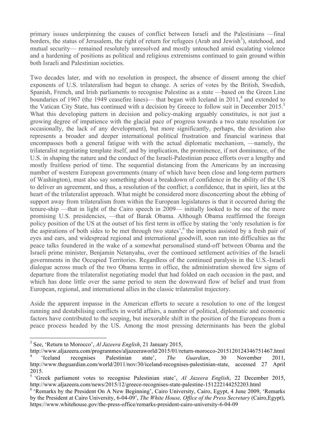primary issues underpinning the causes of conflict between Israeli and the Palestinians —final borders, the status of Jerusalem, the right of return for refugees (Arab and Jewish<sup>3</sup>), statehood, and mutual security— remained resolutely unresolved and mostly untouched amid escalating violence and a hardening of positions as political and religious extremisms continued to gain ground within both Israeli and Palestinian societies.

Two decades later, and with no resolution in prospect, the absence of dissent among the chief exponents of U.S. trilateralism had begun to change. A series of votes by the British, Swedish, Spanish, French, and Irish parliaments to recognise Palestine as a state —based on the Green Line boundaries of 1967 (the 1949 ceasefire lines)— that began with Iceland in  $2011<sup>4</sup>$  and extended to the Vatican City State, has continued with a decision by Greece to follow suit in December 2015.<sup>5</sup> What this developing pattern in decision and policy-making arguably constitutes, is not just a growing degree of impatience with the glacial pace of progress towards a two state resolution (or occasionally, the lack of any development), but more significantly, perhaps, the deviation also represents a broader and deeper international political frustration and financial wariness that encompasses both a general fatigue with with the actual diplomatic mechanism, —namely, the trilateralist negotiating template itself, and by implication, the prominence, if not dominance, of the U.S. in shaping the nature and the conduct of the Israeli-Palestinian peace efforts over a lengthy and mostly fruitless period of time. The sequential distancing from the Americans by an increasing number of western European governments (many of which have been close and long-term partners of Washington), must also say something about a breakdown of confidence in the ability of the US to deliver an agreement, and thus, a resolution of the conflict; a confidence, that in spirit, lies at the heart of the trilateralist approach. What might be considered more disconcerting about the ebbing of support away from trilateralism from within the European legislatures is that it occurred during the tenure-ship —that in light of the Cairo speech in 2009— initially looked to be one of the more promising U.S. presidencies, —that of Barak Obama. Although Obama reaffirmed the foreign policy position of the US at the outset of his first term in office by stating the 'only resolution is for the aspirations of both sides to be met through two states',<sup>6</sup> the impetus assisted by a fresh pair of eyes and ears, and widespread regional and international goodwill, soon ran into difficulties as the peace talks foundered in the wake of a somewhat personalised stand-off between Obama and the Israeli prime minister, Benjamin Netanyahu, over the continued settlement activities of the Israeli governments in the Occupied Territories. Regardless of the continued paralysis in the U.S.-Israeli dialogue across much of the two Obama terms in office, the administration showed few signs of departure from the trilateralist negotiating model that had folded on each occasion in the past, and which has done little over the same period to stem the downward flow of belief and trust from European, regional, and international allies in the classic trilateralist trajectory.

Aside the apparent impasse in the American efforts to secure a resolution to one of the longest running and destabilising conflicts in world affairs, a number of political, diplomatic and economic factors have contributed to the seeping, but inexorable shift in the position of the Europeans from a peace process headed by the US. Among the most pressing determinants has been the global

 <sup>3</sup> See, 'Return to Morocco', *Al Jazeera English*, <sup>21</sup> January 2015,

http://www.aljazeera.com/programmes/aljazeeraworld/2015/01/return-morocco-2015120124346751467.html <sup>4</sup> 'Iceland recognises Palestinian state', *The Guardian*, 30 November 2011, http://www.theguardian.com/world/2011/nov/30/iceland-recognises-palestinian-state, accessed 27 April 2015.

<sup>5</sup> 'Greek parliament votes to recognise Palestinian state', *Al Jazeera English*, 22 December 2015, http://www.aljazeera.com/news/2015/12/greece-recognises-state-palestine-151222144252203.html

<sup>&</sup>lt;sup>6</sup> 'Remarks by the President On A New Beginning', Cairo University, Cairo, Egypt, 4 June 2009, 'Remarks by the President at Cairo University, 6-04-09', *The White House, Office of the Press Secretary* (Cairo,Egypt), https://www.whitehouse.gov/the-press-office/remarks-president-cairo-university-6-04-09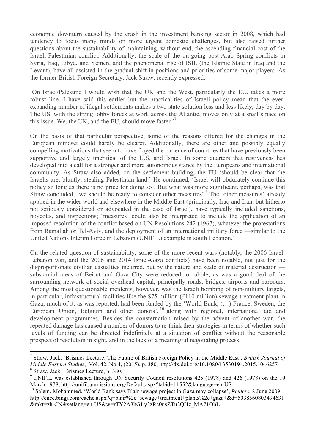economic downturn caused by the crash in the investment banking sector in 2008, which had tendency to focus many minds on more urgent domestic challenges, but also raised further questions about the sustainability of maintaining, without end, the ascending financial cost of the Israeli-Palestinian conflict. Additionally, the scale of the on-going post-Arab Spring conflicts in Syria, Iraq, Libya, and Yemen, and the phenomenal rise of ISIL (the Islamic State in Iraq and the Levant), have all assisted in the gradual shift in positions and priorities of some major players. As the former British Foreign Secretary, Jack Straw, recently expressed,

'On Israel/Palestine I would wish that the UK and the West, particularly the EU, takes a more robust line. I have said this earlier but the practicalities of Israeli policy mean that the everexpanding number of illegal settlements makes a two state solution less and less likely, day by day. The US, with the strong lobby forces at work across the Atlantic, moves only at a snail's pace on this issue. We, the UK, and the EU, should move faster.<sup>7</sup>

On the basis of that particular perspective, some of the reasons offered for the changes in the European mindset could hardly be clearer. Additionally, there are other and possibly equally compelling motivations that seem to have frayed the patience of countries that have previously been supportive and largely uncritical of the U.S. and Israel. In some quarters that restiveness has developed into a call for a stronger and more autonomous stance by the Europeans and international community. As Straw also added, on the settlement building, the EU 'should be clear that the Israelis are, bluntly, stealing Palestinian land.' He continued, 'Israel will obdurately continue this policy so long as there is no price for doing so'. But what was more significant, perhaps, was that Straw concluded, 'we should be ready to consider other measures'.<sup>8</sup> The 'other measures' already applied in the wider world and elsewhere in the Middle East (principally, Iraq and Iran, but hitherto not seriously considered or advocated in the case of Israel), have typically included sanctions, boycotts, and inspections; 'measures' could also be interpreted to include the application of an imposed resolution of the conflict based on UN Resolutions 242 (1967), whatever the protestations from Ramallah or Tel-Aviv, and the deployment of an international military force —similar to the United Nations Interim Force in Lebanon (UNIFIL) example in south Lebanon.<sup>9</sup>

On the related question of sustainability, some of the more recent wars (notably, the 2006 Israel-Lebanon war, and the 2006 and 2014 Israel-Gaza conflicts) have been notable, not just for the disproportionate civilian casualties incurred, but by the nature and scale of material destruction substantial areas of Beirut and Gaza City were reduced to rubble, as was a good deal of the surrounding network of social overhead capital, principally roads, bridges, airports and harbours. Among the most questionable incidents, however, was the Israeli bombing of non-military targets, in particular, infrastructural facilities like the \$75 million (£110 million) sewage treatment plant in Gaza; much of it, as was reported, had been funded by the 'World Bank, (…) France, Sweden, the European Union, Belgium and other donors', <sup>10</sup> along with regional, international aid and development programmes. Besides the consternation raised by the advent of another war, the repeated damage has caused a number of donors to re-think their strategies in terms of whether such levels of funding can be directed indefinitely at a situation of conflict without the reasonable prospect of resolution in sight, and in the lack of a meaningful negotiating process.

 <sup>7</sup> Straw, Jack. 'Brismes Lecture: The Future of British Foreign Policy in the Middle East', *British Journal of Middle Eastern Studies*, Vol. 42, No.4, (2015), p. 380, http://dx.doi.org/10.1080/13530194.2015.1046257 <sup>8</sup> Straw, Jack. 'Brismes Lecture, p. 380.

<sup>&</sup>lt;sup>9</sup> UNIFIL was established through UN Security Council resolutions 425 (1978) and 426 (1978) on the 19 March 1978, http://unifil.unmissions.org/Default.aspx?tabid=11552&language=en-US

<sup>10</sup> Salem, Mohammed. 'World Bank says Blair sewage project in Gaza may collapse', *Reuters*, 8 June 2009, http://cncc.bingj.com/cache.aspx?q=blair%2c+sewage+treatment+plants%2c+gaza+&d=5038560803494631 &mkt=zh-CN&setlang=en-US&w=rTY2A3hGLy3zRc0usZTu2QHz\_MA71OhL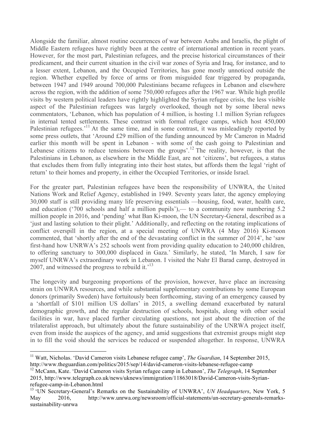Alongside the familiar, almost routine occurrences of war between Arabs and Israelis, the plight of Middle Eastern refugees have rightly been at the centre of international attention in recent years. However, for the most part, Palestinian refugees, and the precise historical circumstances of their predicament, and their current situation in the civil war zones of Syria and Iraq, for instance, and to a lesser extent, Lebanon, and the Occupied Territories, has gone mostly unnoticed outside the region. Whether expelled by force of arms or from misguided fear triggered by propaganda, between 1947 and 1949 around 700,000 Palestinians became refugees in Lebanon and elsewhere across the region, with the addition of some 750,000 refugees after the 1967 war. While high profile visits by western political leaders have rightly highlighted the Syrian refugee crisis, the less visible aspect of the Palestinian refugees was largely overlooked, though not by some liberal news commentators, 'Lebanon, which has population of 4 million, is hosting 1.1 million Syrian refugees in internal tented settlements. These contrast with formal refugee camps, which host 450,000 Palestinian refugees.<sup>11</sup> At the same time, and in some contrast, it was misleadingly reported by some press outlets, that 'Around £29 million of the funding announced by Mr Cameron in Madrid earlier this month will be spent in Lebanon - with some of the cash going to Palestinian and Lebanese citizens to reduce tensions between the groups'.<sup>12</sup> The reality, however, is that the Palestinians in Lebanon, as elsewhere in the Middle East, are not 'citizens', but refugees, a status that excludes them from fully integrating into their host states, but affords them the legal 'right of return' to their homes and property, in either the Occupied Territories, or inside Israel.

For the greater part, Palestinian refugees have been the responsibility of UNWRA, the United Nations Work and Relief Agency, established in 1949. Seventy years later, the agency employing 30,000 staff is still providing many life preserving essentials —housing, food, water, health care, and education ('700 schools and half a million pupils'),— to a community now numbering 5.2 million people in 2016, and 'pending' what Ban Ki-moon, the UN Secretary-General, described as a 'just and lasting solution to their plight.' Additionally, and reflecting on the rotating implications of conflict overspill in the region, at a special meeting of UNWRA (4 May 2016) Ki-moon commented, that 'shortly after the end of the devastating conflict in the summer of 2014', he 'saw first-hand how UNRWA's 252 schools went from providing quality education to 240,000 children, to offering sanctuary to 300,000 displaced in Gaza.' Similarly, he stated, 'In March, I saw for myself UNRWA's extraordinary work in Lebanon. I visited the Nahr El Barad camp, destroyed in 2007, and witnessed the progress to rebuild it.<sup> $13$ </sup>

The longevity and burgeoning proportions of the provision, however, have place an increasing strain on UNWRA resources, and while substantial supplementary contributions by some European donors (primarily Sweden) have fortuitously been forthcoming, staving of an emergency caused by a 'shortfall of \$101 million US dollars' in 2015, a swelling demand exacerbated by natural demographic growth, and the regular destruction of schools, hospitals, along with other social facilities in war, have placed further circulating questions, not just about the direction of the trilateralist approach, but ultimately about the future sustainability of the UNRWA project itself, even from inside the auspices of the agency, and amid suggestions that extremist groups might step in to fill the void should the services be reduced or suspended altogether. In response, UNWRA

<sup>&</sup>lt;sup>11</sup> Watt. Nicholas. 'David Cameron visits Lebanese refugee camp', *The Guardian*, 14 September 2015, http://www.theguardian.com/politics/2015/sep/14/david-cameron-visits-lebanese-refugee-camp

<sup>12</sup> McCann, Kate. 'David Cameron visits Syrian refugee camp in Lebanon', *The Telegraph*, 14 September 2015, http://www.telegraph.co.uk/news/uknews/immigration/11863018/David-Cameron-visits-Syrianrefugee-camp-in-Lebanon.html

<sup>13</sup> 'UN Secretary-General's Remarks on the Sustainability of UNWRA', *UN Headquarters*, New York, 5 May 2016, http://www.unrwa.org/newsroom/official-statements/un-secretary-generals-remarkssustainability-unrwa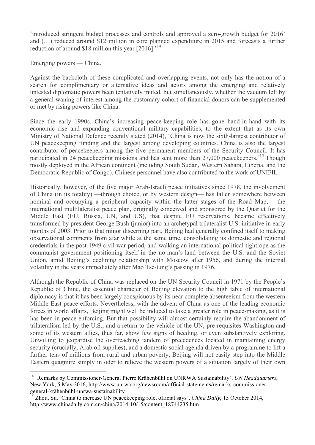'introduced stringent budget processes and controls and approved a zero-growth budget for 2016' and (…) reduced around \$12 million in core planned expenditure in 2015 and forecasts a further reduction of around \$18 million this year [2016].<sup>14</sup>

Emerging powers — China.

Against the backcloth of these complicated and overlapping events, not only has the notion of a search for complimentary or alternative ideas and actors among the emerging and relatively untested diplomatic powers been tentatively muted, but simultaneously, whether the vacuum left by a general waning of interest among the customary cohort of financial donors can be supplemented or met by rising powers like China.

Since the early 1990s, China's increasing peace-keeping role has gone hand-in-hand with its economic rise and expanding conventional military capabilities, to the extent that as its own Ministry of National Defence recently stated (2014), 'China is now the sixth-largest contributor of UN peacekeeping funding and the largest among developing countries. China is also the largest contributor of peacekeepers among the five permanent members of the Security Council. It has participated in 24 peacekeeping missions and has sent more than 27,000 peacekeepers.<sup>15</sup> Though mostly deployed in the African continent (including South Sudan, Western Sahara, Liberia, and the Democratic Republic of Congo), Chinese personnel have also contributed to the work of UNIFIL.

Historically, however, of the five major Arab-Israeli peace initiatives since 1978, the involvement of China (in its totality) —through choice, or by western design— has fallen somewhere between nominal and occupying a peripheral capacity within the latter stages of the Road Map, —the international multilateralist peace plan, originally conceived and sponsored by the Quartet for the Middle East (EU, Russia, UN, and US), that despite EU reservations, became effectively transformed by president George Bush (junior) into an archetypal trilateralist U.S. initiative in early months of 2003. Prior to that minor discerning part, Beijing had generally confined itself to making observational comments from afar while at the same time, consolidating its domestic and regional credentials in the post-1949 civil war period, and walking an international political tightrope as the communist government positioning itself in the no-man's-land between the U.S. and the Soviet Union, amid Beijing's declining relationship with Moscow after 1956, and during the internal volatility in the years immediately after Mao Tse-tung's passing in 1976.

Although the Republic of China was replaced on the UN Security Council in 1971 by the People's Republic of Chine, the essential character of Beijing elevation to the high table of international diplomacy is that it has been largely conspicuous by its near complete absenteeism from the western Middle East peace efforts. Nevertheless, with the advent of China as one of the leading economic forces in world affairs, Beijing might well be induced to take a greater role in peace-making, as it is has been in peace-enforcing. But that possibility will almost certainly require the abandonment of trilateralism led by the U.S., and a return to the vehicle of the UN, pre-requisites Washington and some of its western allies, thus far, show few signs of heeding, or even substantively exploring. Unwilling to jeopardise the overreaching tandem of precedences located in maintaining energy security (crucially, Arab oil supplies), and a domestic social agenda driven by a programme to lift a further tens of millions from rural and urban poverty, Beijing will not easily step into the Middle Eastern quagmire simply in oder to relieve the western powers of a situation largely of their own

 <sup>14</sup> 'Remarks by Commissioner-General Pierre Krähenbühl on UNRWA Sustainability', *UN Headquarters*, New York, 5 May 2016, http://www.unrwa.org/newsroom/official-statements/remarks-commissionergeneral-krähenbühl-unrwa-sustainability

<sup>15</sup> Zhou, Su. 'China to increase UN peacekeeping role, official says', *China Daily*, 15 October 2014, http://www.chinadaily.com.cn/china/2014-10/15/content\_18744235.htm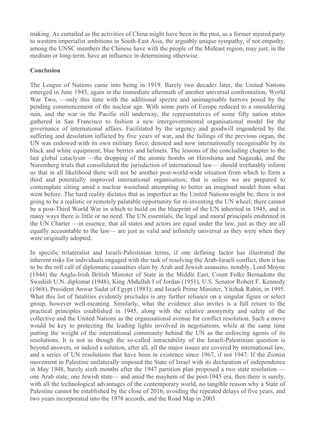making. As curtailed as the activities of China might have been in the past, as a former injured party to western imperialist ambitions in South-East Asia, the arguably unique sympathy, if not empathy, among the UNSC members the Chinese have with the people of the Mideast region, may just, in the medium or long-term, have an influence in determining otherwise.

## **Conclusion**

The League of Nations came into being in 1919. Barely two decades later, the United Nations emerged in June 1945, again in the immediate aftermath of another universal confrontation, World War Two, —only this time with the additional spectre and unimaginable horrors posed by the pending commencement of the nuclear age. With some parts of Europe reduced to a smouldering ruin, and the war in the Pacific still underway, the representatives of some fifty nation states gathered in San Francisco to fashion a new intergovernmental organisational model for the governance of international affairs. Facilitated by the urgency and goodwill engendered by the suffering and desolation inflicted by five years of war, and the failings of the previous organ, the UN was endowed with its own military force, denoted and now internationally recognisable by its black and white equipment, blue berries and helmets. The lessons of the concluding chapter to the last global cataclysm —the dropping of the atomic bombs on Hiroshima and Nagasaki, and the Nuremberg trials that consolidated the jurisdiction of international law— should irrefutably inform us that in all likelihood there will not be another post-world-wide situation from which to form a third and potentially improved international organisation; that is unless we are prepared to contemplate sitting amid a nuclear wasteland attempting to better an imagined model from what went before. The hard reality dictates that as imperfect as the United Nations might be, there is not going to be a realistic or remotely palatable opportunity for re-inventing the UN wheel; there cannot be a post-Third World War in which to build on the blueprint of the UN inherited in 1945, and in many ways there is little or no need. The UN essentials, the legal and moral principals enshrined in the UN Charter —in essence, that all states and actors are equal under the law, just as they are all equally accountable to the law— are just as valid and infinitely universal as they were when they were originally adopted.

In specific trilateralist and Israeli-Palestinian terms, if one defining factor has illustrated the inherent risks for individuals engaged with the task of resolving the Arab-Israeli conflict, then it has to be the roll call of diplomatic casualties slain by Arab and Jewish assassins, notably, Lord Moyne (1944) the Anglo-Irish British Minister of State in the Middle East, Count Folke Bernadotte the Swedish U.N. diplomat (1948), King Abdullah I of Jordan (1951), U.S. Senator Robert F. Kennedy (1968), President Anwar Sadat of Egypt (1981); and Israeli Prime Minister, Yitzhak Rabin, in 1995. What this list of fatalities evidently precludes is any further reliance on a singular figure or select group, however well-meaning. Similarly, what the evidence also invites is a full return to the practical principles established in 1945, along with the relative anonymity and safety of the collective and the United Nations as the organisational avenue for conflict resolution. Such a move would be key to protecting the leading lights involved in negotiations, while at the same time putting the weight of the international community behind the UN as the enforcing agents of its resolutions. It is not as though the so-called intractability of the Israeli-Palestinian question is beyond answers, or indeed a solution, after all, all the major issues are covered by international law, and a series of UN resolutions that have been in existence since 1967, if not 1947. If the Zionist movement in Palestine unilaterally imposed the State of Israel with its declaration of independence in May 1948, barely sixth months after the 1947 partition plan proposed a two state resolution one Arab state, one Jewish state— and amid the mayhem of the post-1945 era, then there is surely, with all the technological advantages of the contemporary world, no tangible reason why a State of Palestine cannot be established by the close of 2016, avoiding the repeated delays of five years, and two years incorporated into the 1978 accords, and the Road Map in 2003.